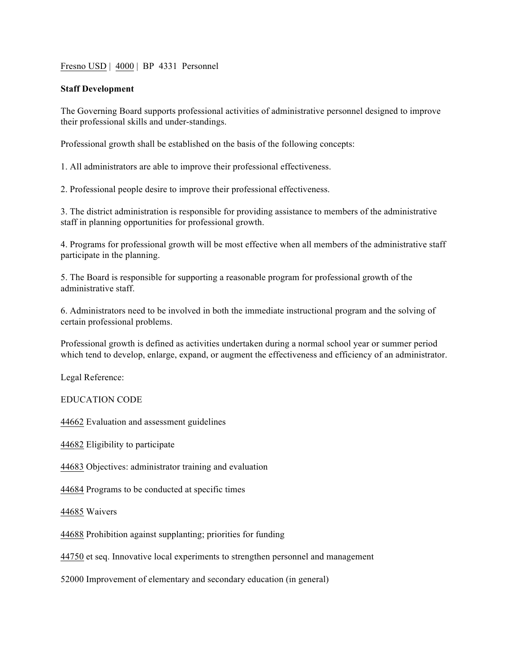Fresno USD | 4000 | BP 4331 Personnel

## **Staff Development**

The Governing Board supports professional activities of administrative personnel designed to improve their professional skills and under-standings.

Professional growth shall be established on the basis of the following concepts:

1. All administrators are able to improve their professional effectiveness.

2. Professional people desire to improve their professional effectiveness.

3. The district administration is responsible for providing assistance to members of the administrative staff in planning opportunities for professional growth.

4. Programs for professional growth will be most effective when all members of the administrative staff participate in the planning.

5. The Board is responsible for supporting a reasonable program for professional growth of the administrative staff.

6. Administrators need to be involved in both the immediate instructional program and the solving of certain professional problems.

Professional growth is defined as activities undertaken during a normal school year or summer period which tend to develop, enlarge, expand, or augment the effectiveness and efficiency of an administrator.

Legal Reference:

EDUCATION CODE

44662 Evaluation and assessment guidelines

44682 Eligibility to participate

44683 Objectives: administrator training and evaluation

44684 Programs to be conducted at specific times

44685 Waivers

44688 Prohibition against supplanting; priorities for funding

44750 et seq. Innovative local experiments to strengthen personnel and management

52000 Improvement of elementary and secondary education (in general)